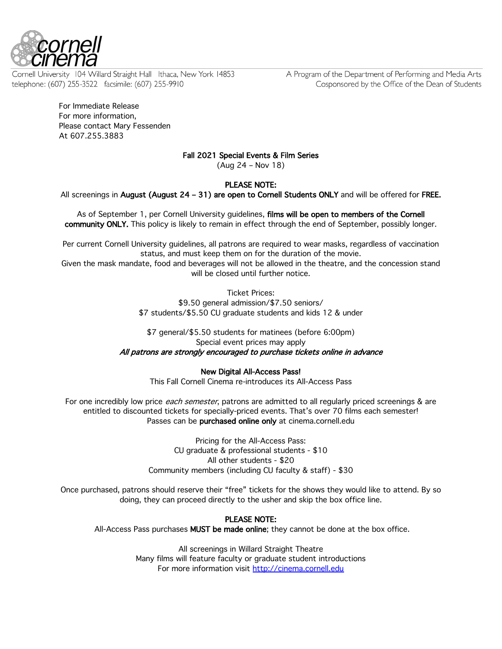

Cornell University 104 Willard Straight Hall Ithaca, New York 14853 telephone: (607) 255-3522 facsimile: (607) 255-9910

A Program of the Department of Performing and Media Arts Cosponsored by the Office of the Dean of Students

For Immediate Release For more information, Please contact Mary Fessenden At 607.255.3883

# Fall 2021 Special Events & Film Series

(Aug 24 – Nov 18)

# PLEASE NOTE:

All screenings in August (August 24 – 31) are open to Cornell Students ONLY and will be offered for FREE.

As of September 1, per Cornell University quidelines, films will be open to members of the Cornell community ONLY. This policy is likely to remain in effect through the end of September, possibly longer.

Per current Cornell University guidelines, all patrons are required to wear masks, regardless of vaccination status, and must keep them on for the duration of the movie.

Given the mask mandate, food and beverages will not be allowed in the theatre, and the concession stand will be closed until further notice.

> Ticket Prices: \$9.50 general admission/\$7.50 seniors/ \$7 students/\$5.50 CU graduate students and kids 12 & under

## \$7 general/\$5.50 students for matinees (before 6:00pm) Special event prices may apply All patrons are strongly encouraged to purchase tickets online in advance

## New Digital All-Access Pass!

This Fall Cornell Cinema re-introduces its All-Access Pass

For one incredibly low price *each semester*, patrons are admitted to all regularly priced screenings & are entitled to discounted tickets for specially-priced events. That's over 70 films each semester! Passes can be purchased online only at cinema.cornell.edu

> Pricing for the All-Access Pass: CU graduate & professional students - \$10 All other students - \$20 Community members (including CU faculty & staff) - \$30

Once purchased, patrons should reserve their "free" tickets for the shows they would like to attend. By so doing, they can proceed directly to the usher and skip the box office line.

## PLEASE NOTE:

All-Access Pass purchases MUST be made online; they cannot be done at the box office.

All screenings in Willard Straight Theatre Many films will feature faculty or graduate student introductions For more information visit http://cinema.cornell.edu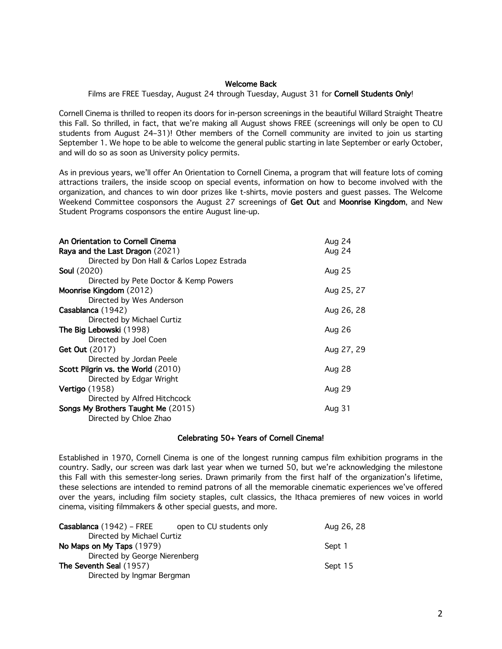### Welcome Back

Films are FREE Tuesday, August 24 through Tuesday, August 31 for Cornell Students Only!

Cornell Cinema is thrilled to reopen its doors for in-person screenings in the beautiful Willard Straight Theatre this Fall. So thrilled, in fact, that we're making all August shows FREE (screenings will only be open to CU students from August 24–31)! Other members of the Cornell community are invited to join us starting September 1. We hope to be able to welcome the general public starting in late September or early October, and will do so as soon as University policy permits.

As in previous years, we'll offer An Orientation to Cornell Cinema, a program that will feature lots of coming attractions trailers, the inside scoop on special events, information on how to become involved with the organization, and chances to win door prizes like t-shirts, movie posters and guest passes. The Welcome Weekend Committee cosponsors the August 27 screenings of Get Out and Moonrise Kingdom, and New Student Programs cosponsors the entire August line-up.

| An Orientation to Cornell Cinema            | Aug 24     |
|---------------------------------------------|------------|
| Raya and the Last Dragon (2021)             | Aug 24     |
| Directed by Don Hall & Carlos Lopez Estrada |            |
| <b>Soul</b> (2020)                          | Aug 25     |
| Directed by Pete Doctor & Kemp Powers       |            |
| Moonrise Kingdom (2012)                     | Aug 25, 27 |
| Directed by Wes Anderson                    |            |
| Casablanca (1942)                           | Aug 26, 28 |
| Directed by Michael Curtiz                  |            |
| The Big Lebowski (1998)                     | Aug 26     |
| Directed by Joel Coen                       |            |
| <b>Get Out</b> (2017)                       | Aug 27, 29 |
| Directed by Jordan Peele                    |            |
| Scott Pilgrin vs. the World (2010)          | Aug 28     |
| Directed by Edgar Wright                    |            |
| <b>Vertigo</b> (1958)                       | Aug 29     |
| Directed by Alfred Hitchcock                |            |
| Songs My Brothers Taught Me (2015)          | Aug 31     |
| Directed by Chloe Zhao                      |            |

## Celebrating 50+ Years of Cornell Cinema!

Established in 1970, Cornell Cinema is one of the longest running campus film exhibition programs in the country. Sadly, our screen was dark last year when we turned 50, but we're acknowledging the milestone this Fall with this semester-long series. Drawn primarily from the first half of the organization's lifetime, these selections are intended to remind patrons of all the memorable cinematic experiences we've offered over the years, including film society staples, cult classics, the Ithaca premieres of new voices in world cinema, visiting filmmakers & other special guests, and more.

| Casablanca (1942) – FREE      | open to CU students only | Aug 26, 28 |
|-------------------------------|--------------------------|------------|
| Directed by Michael Curtiz    |                          |            |
| No Maps on My Taps (1979)     |                          | Sept 1     |
| Directed by George Nierenberg |                          |            |
| The Seventh Seal (1957)       |                          | Sept 15    |
| Directed by Ingmar Bergman    |                          |            |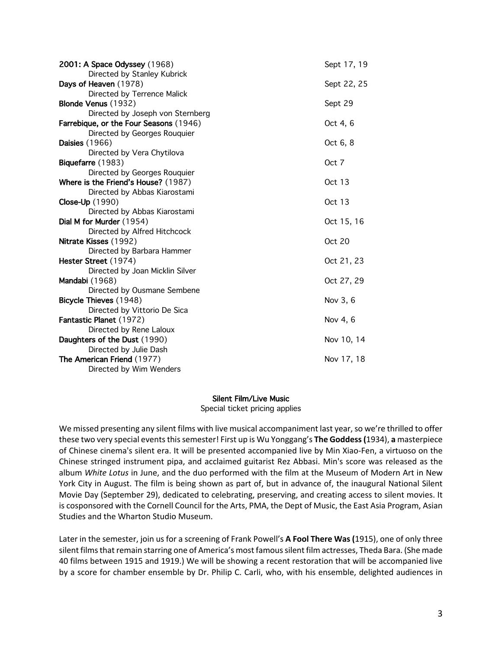| 2001: A Space Odyssey (1968)           | Sept 17, 19   |
|----------------------------------------|---------------|
| Directed by Stanley Kubrick            |               |
| Days of Heaven (1978)                  | Sept 22, 25   |
| Directed by Terrence Malick            |               |
| Blonde Venus (1932)                    | Sept 29       |
| Directed by Joseph von Sternberg       |               |
| Farrebique, or the Four Seasons (1946) | Oct 4, 6      |
| Directed by Georges Rouquier           |               |
| <b>Daisies</b> (1966)                  | Oct 6, 8      |
| Directed by Vera Chytilova             |               |
| Biquefarre (1983)                      | Oct 7         |
| Directed by Georges Rouquier           |               |
| Where is the Friend's House? (1987)    | <b>Oct 13</b> |
| Directed by Abbas Kiarostami           |               |
| Close-Up (1990)                        | <b>Oct 13</b> |
| Directed by Abbas Kiarostami           |               |
| Dial M for Murder (1954)               | Oct 15, 16    |
| Directed by Alfred Hitchcock           |               |
| Nitrate Kisses (1992)                  | <b>Oct 20</b> |
| Directed by Barbara Hammer             |               |
| Hester Street (1974)                   | Oct 21, 23    |
| Directed by Joan Micklin Silver        |               |
| Mandabi (1968)                         | Oct 27, 29    |
| Directed by Ousmane Sembene            |               |
| Bicycle Thieves (1948)                 | Nov 3, 6      |
| Directed by Vittorio De Sica           |               |
| Fantastic Planet (1972)                | Nov 4, 6      |
| Directed by Rene Laloux                |               |
| Daughters of the Dust (1990)           | Nov 10, 14    |
| Directed by Julie Dash                 |               |
| The American Friend (1977)             | Nov 17, 18    |
| Directed by Wim Wenders                |               |

## Silent Film/Live Music

Special ticket pricing applies

We missed presenting any silent films with live musical accompaniment last year, so we're thrilled to offer these two very special events this semester! First up is Wu Yonggang's **The Goddess (**1934), **a** masterpiece of Chinese cinema's silent era. It will be presented accompanied live by Min Xiao-Fen, a virtuoso on the Chinese stringed instrument pipa, and acclaimed guitarist Rez Abbasi. Min's score was released as the album *White Lotus* in June, and the duo performed with the film at the Museum of Modern Art in New York City in August. The film is being shown as part of, but in advance of, the inaugural National Silent Movie Day (September 29), dedicated to celebrating, preserving, and creating access to silent movies. It is cosponsored with the Cornell Council for the Arts, PMA, the Dept of Music, the East Asia Program, Asian Studies and the Wharton Studio Museum.

Later in the semester, join us for a screening of Frank Powell's **A Fool There Was (**1915), one of only three silent films that remain starring one of America's most famous silent film actresses, Theda Bara. (She made 40 films between 1915 and 1919.) We will be showing a recent restoration that will be accompanied live by a score for chamber ensemble by Dr. Philip C. Carli, who, with his ensemble, delighted audiences in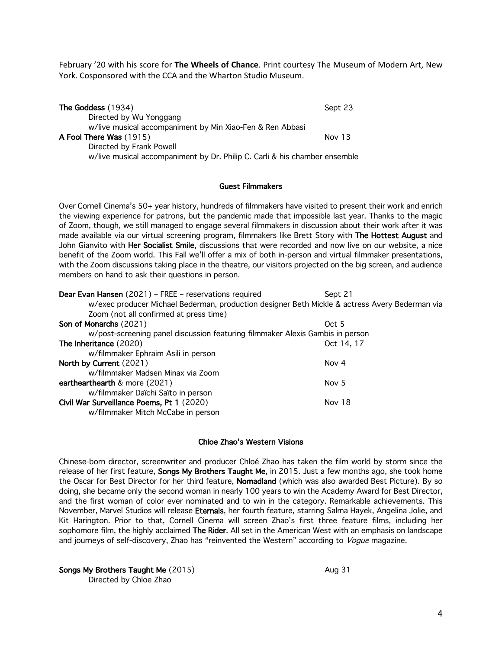February '20 with his score for **The Wheels of Chance**. Print courtesy The Museum of Modern Art, New York. Cosponsored with the CCA and the Wharton Studio Museum.

| The Goddess (1934)                                                         | Sept 23  |
|----------------------------------------------------------------------------|----------|
| Directed by Wu Yonggang                                                    |          |
| w/live musical accompaniment by Min Xiao-Fen & Ren Abbasi                  |          |
| A Fool There Was (1915)                                                    | Nov $13$ |
| Directed by Frank Powell                                                   |          |
| w/live musical accompaniment by Dr. Philip C. Carli & his chamber ensemble |          |

## Guest Filmmakers

Over Cornell Cinema's 50+ year history, hundreds of filmmakers have visited to present their work and enrich the viewing experience for patrons, but the pandemic made that impossible last year. Thanks to the magic of Zoom, though, we still managed to engage several filmmakers in discussion about their work after it was made available via our virtual screening program, filmmakers like Brett Story with The Hottest August and John Gianvito with Her Socialist Smile, discussions that were recorded and now live on our website, a nice benefit of the Zoom world. This Fall we'll offer a mix of both in-person and virtual filmmaker presentations, with the Zoom discussions taking place in the theatre, our visitors projected on the big screen, and audience members on hand to ask their questions in person.

| Dear Evan Hansen (2021) - FREE - reservations required                                         | Sept 21          |
|------------------------------------------------------------------------------------------------|------------------|
| w/exec producer Michael Bederman, production designer Beth Mickle & actress Avery Bederman via |                  |
| Zoom (not all confirmed at press time)                                                         |                  |
| Son of Monarchs (2021)                                                                         | Oct 5            |
| w/post-screening panel discussion featuring filmmaker Alexis Gambis in person                  |                  |
| The Inheritance (2020)                                                                         | Oct 14, 17       |
| w/filmmaker Ephraim Asili in person                                                            |                  |
| North by Current (2021)                                                                        | Nov 4            |
| w/filmmaker Madsen Minax via Zoom                                                              |                  |
| earthearthearth & more (2021)                                                                  | Nov <sub>5</sub> |
| w/filmmaker Daïchi Saïto in person                                                             |                  |
| Civil War Surveillance Poems, Pt 1 (2020)                                                      | Nov 18           |
| w/filmmaker Mitch McCabe in person                                                             |                  |

## Chloe Zhao's Western Visions

Chinese-born director, screenwriter and producer Chloé Zhao has taken the film world by storm since the release of her first feature, Songs My Brothers Taught Me, in 2015. Just a few months ago, she took home the Oscar for Best Director for her third feature, Nomadland (which was also awarded Best Picture). By so doing, she became only the second woman in nearly 100 years to win the Academy Award for Best Director, and the first woman of color ever nominated and to win in the category. Remarkable achievements. This November, Marvel Studios will release Eternals, her fourth feature, starring Salma Hayek, Angelina Jolie, and Kit Harington. Prior to that, Cornell Cinema will screen Zhao's first three feature films, including her sophomore film, the highly acclaimed The Rider. All set in the American West with an emphasis on landscape and journeys of self-discovery, Zhao has "reinvented the Western" according to Vogue magazine.

Songs My Brothers Taught Me (2015) Aug 31 Directed by Chloe Zhao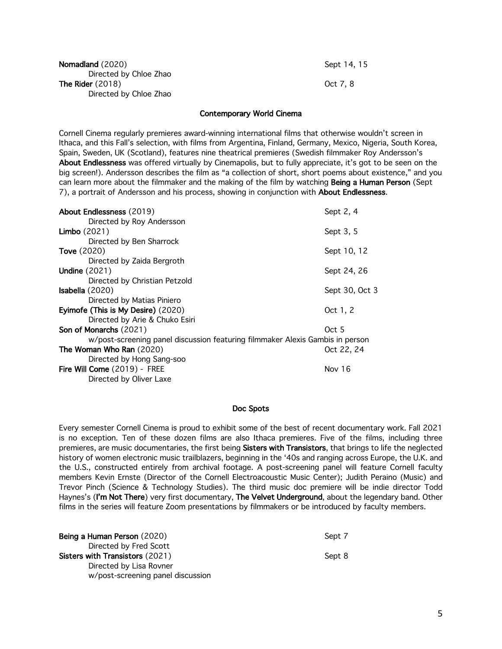| Nomadland (2020)       | Sept 14  |
|------------------------|----------|
| Directed by Chloe Zhao |          |
| The Rider $(2018)$     | Oct 7, 8 |
| Directed by Chloe Zhao |          |

Sept 14, 15

## Contemporary World Cinema

Cornell Cinema regularly premieres award-winning international films that otherwise wouldn't screen in Ithaca, and this Fall's selection, with films from Argentina, Finland, Germany, Mexico, Nigeria, South Korea, Spain, Sweden, UK (Scotland), features nine theatrical premieres (Swedish filmmaker Roy Andersson's About Endlessness was offered virtually by Cinemapolis, but to fully appreciate, it's got to be seen on the big screen!). Andersson describes the film as "a collection of short, short poems about existence," and you can learn more about the filmmaker and the making of the film by watching Being a Human Person (Sept 7), a portrait of Andersson and his process, showing in conjunction with About Endlessness.

| About Endlessness (2019)                                                      | Sept 2, 4      |
|-------------------------------------------------------------------------------|----------------|
| Directed by Roy Andersson                                                     |                |
| <b>Limbo</b> (2021)                                                           | Sept 3, 5      |
| Directed by Ben Sharrock                                                      |                |
| <b>Tove</b> (2020)                                                            | Sept 10, 12    |
| Directed by Zaida Bergroth                                                    |                |
| <b>Undine</b> (2021)                                                          | Sept 24, 26    |
| Directed by Christian Petzold                                                 |                |
| <b>Isabella</b> $(2020)$                                                      | Sept 30, Oct 3 |
| Directed by Matias Piniero                                                    |                |
| Eyimofe (This is My Desire) (2020)                                            | Oct 1, 2       |
| Directed by Arie & Chuko Esiri                                                |                |
| Son of Monarchs (2021)                                                        | Oct 5          |
| w/post-screening panel discussion featuring filmmaker Alexis Gambis in person |                |
| The Woman Who Ran (2020)                                                      | Oct 22, 24     |
| Directed by Hong Sang-soo                                                     |                |
| Fire Will Come (2019) - FREE                                                  | Nov 16         |
| Directed by Oliver Laxe                                                       |                |

#### Doc Spots

Every semester Cornell Cinema is proud to exhibit some of the best of recent documentary work. Fall 2021 is no exception. Ten of these dozen films are also Ithaca premieres. Five of the films, including three premieres, are music documentaries, the first being Sisters with Transistors, that brings to life the neglected history of women electronic music trailblazers, beginning in the '40s and ranging across Europe, the U.K. and the U.S., constructed entirely from archival footage. A post-screening panel will feature Cornell faculty members Kevin Ernste (Director of the Cornell Electroacoustic Music Center); Judith Peraino (Music) and Trevor Pinch (Science & Technology Studies). The third music doc premiere will be indie director Todd Haynes's (I'm Not There) very first documentary, The Velvet Underground, about the legendary band. Other films in the series will feature Zoom presentations by filmmakers or be introduced by faculty members.

Being a Human Person (2020) Sept 7 Directed by Fred Scott Sisters with Transistors (2021) Sept 8 Directed by Lisa Rovner w/post-screening panel discussion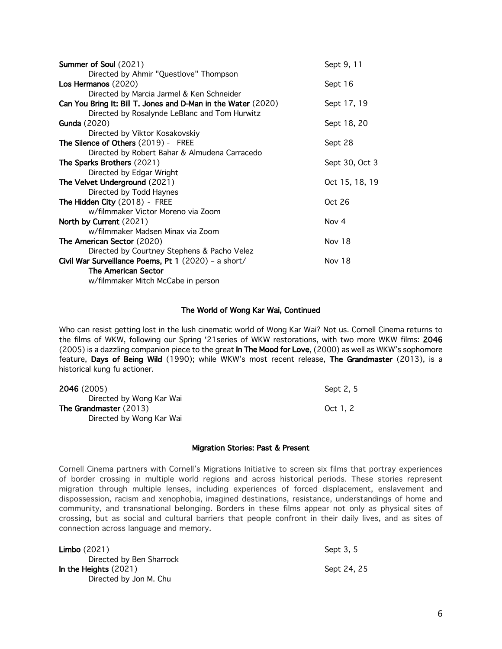| Summer of Soul (2021)                                         | Sept 9, 11     |
|---------------------------------------------------------------|----------------|
| Directed by Ahmir "Questlove" Thompson                        |                |
| Los Hermanos (2020)                                           | Sept 16        |
| Directed by Marcia Jarmel & Ken Schneider                     |                |
| Can You Bring It: Bill T. Jones and D-Man in the Water (2020) | Sept 17, 19    |
| Directed by Rosalynde LeBlanc and Tom Hurwitz                 |                |
| Gunda (2020)                                                  | Sept 18, 20    |
| Directed by Viktor Kosakovskiy                                |                |
| The Silence of Others (2019) - FREE                           | Sept 28        |
| Directed by Robert Bahar & Almudena Carracedo                 |                |
| The Sparks Brothers (2021)                                    | Sept 30, Oct 3 |
| Directed by Edgar Wright                                      |                |
| The Velvet Underground (2021)                                 | Oct 15, 18, 19 |
| Directed by Todd Haynes                                       |                |
| The Hidden City (2018) - FREE                                 | Oct 26         |
| w/filmmaker Victor Moreno via Zoom                            |                |
| North by Current (2021)                                       | Nov 4          |
| w/filmmaker Madsen Minax via Zoom                             |                |
| <b>The American Sector (2020)</b>                             | Nov 18         |
| Directed by Courtney Stephens & Pacho Velez                   |                |
| Civil War Surveillance Poems, Pt 1 (2020) - a short/          | Nov 18         |
| <b>The American Sector</b>                                    |                |
| w/filmmaker Mitch McCabe in person                            |                |

### The World of Wong Kar Wai, Continued

Who can resist getting lost in the lush cinematic world of Wong Kar Wai? Not us. Cornell Cinema returns to the films of WKW, following our Spring '21series of WKW restorations, with two more WKW films: 2046 (2005) is a dazzling companion piece to the great In The Mood for Love, (2000) as well as WKW's sophomore feature, Days of Being Wild (1990); while WKW's most recent release, The Grandmaster (2013), is a historical kung fu actioner.

| 2046 (2005)                   | Sept 2, 5 |
|-------------------------------|-----------|
| Directed by Wong Kar Wai      |           |
| <b>The Grandmaster (2013)</b> | Oct 1.2   |
| Directed by Wong Kar Wai      |           |

#### Migration Stories: Past & Present

Cornell Cinema partners with Cornell's Migrations Initiative to screen six films that portray experiences of border crossing in multiple world regions and across historical periods. These stories represent migration through multiple lenses, including experiences of forced displacement, enslavement and dispossession, racism and xenophobia, imagined destinations, resistance, understandings of home and community, and transnational belonging. Borders in these films appear not only as physical sites of crossing, but as social and cultural barriers that people confront in their daily lives, and as sites of connection across language and memory.

**Limbo** (2021) Sept 3, 5 Directed by Ben Sharrock In the Heights (2021) Sept 24, 25 Directed by Jon M. Chu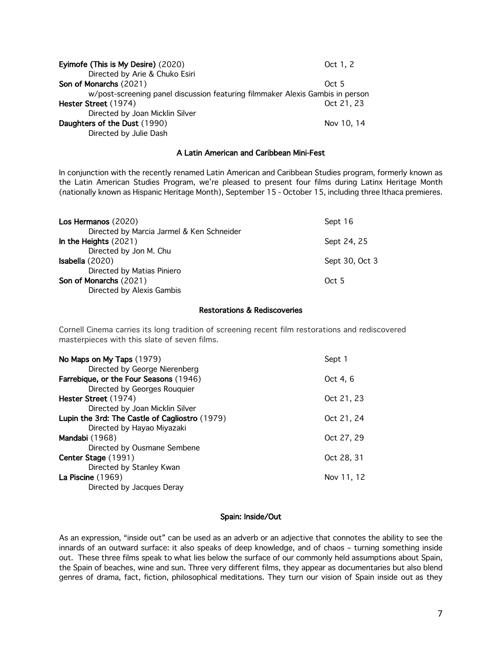| Oct 1, 2                                                                      |
|-------------------------------------------------------------------------------|
|                                                                               |
| Oct 5                                                                         |
| w/post-screening panel discussion featuring filmmaker Alexis Gambis in person |
| Oct 21, 23                                                                    |
|                                                                               |
| Nov 10, 14                                                                    |
|                                                                               |
|                                                                               |

## A Latin American and Caribbean Mini-Fest

In conjunction with the recently renamed Latin American and Caribbean Studies program, formerly known as the Latin American Studies Program, we're pleased to present four films during Latinx Heritage Month (nationally known as Hispanic Heritage Month), September 15 - October 15, including three Ithaca premieres.

| Los Hermanos (2020)                       | Sept 16        |
|-------------------------------------------|----------------|
| Directed by Marcia Jarmel & Ken Schneider |                |
| In the Heights $(2021)$                   | Sept 24, 25    |
| Directed by Jon M. Chu                    |                |
| <b>Isabella</b> $(2020)$                  | Sept 30, Oct 3 |
| Directed by Matias Piniero                |                |
| Son of Monarchs (2021)                    | Oct 5          |
| Directed by Alexis Gambis                 |                |

### Restorations & Rediscoveries

Cornell Cinema carries its long tradition of screening recent film restorations and rediscovered masterpieces with this slate of seven films.

| Sept 1     |
|------------|
|            |
| Oct 4, 6   |
|            |
| Oct 21, 23 |
|            |
| Oct 21, 24 |
|            |
| Oct 27, 29 |
|            |
| Oct 28, 31 |
|            |
| Nov 11, 12 |
|            |
|            |

## Spain: Inside/Out

As an expression, "inside out" can be used as an adverb or an adjective that connotes the ability to see the innards of an outward surface: it also speaks of deep knowledge, and of chaos – turning something inside out. These three films speak to what lies below the surface of our commonly held assumptions about Spain, the Spain of beaches, wine and sun. Three very different films, they appear as documentaries but also blend genres of drama, fact, fiction, philosophical meditations. They turn our vision of Spain inside out as they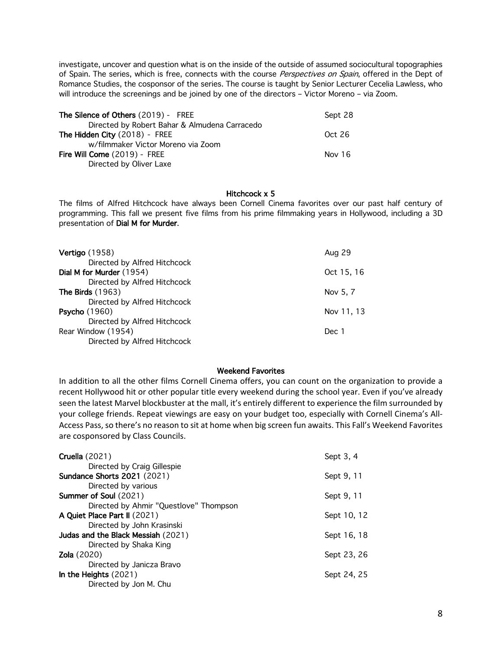investigate, uncover and question what is on the inside of the outside of assumed sociocultural topographies of Spain. The series, which is free, connects with the course Perspectives on Spain, offered in the Dept of Romance Studies, the cosponsor of the series. The course is taught by Senior Lecturer Cecelia Lawless, who will introduce the screenings and be joined by one of the directors – Victor Moreno – via Zoom.

| <b>The Silence of Others (2019) - FREE</b>    | Sept 28 |
|-----------------------------------------------|---------|
| Directed by Robert Bahar & Almudena Carracedo |         |
| The Hidden City (2018) - FREE                 | Oct 26  |
| w/filmmaker Victor Moreno via Zoom            |         |
| Fire Will Come (2019) - FREE                  | Nov 16  |
| Directed by Oliver Laxe                       |         |

## Hitchcock x 5

The films of Alfred Hitchcock have always been Cornell Cinema favorites over our past half century of programming. This fall we present five films from his prime filmmaking years in Hollywood, including a 3D presentation of Dial M for Murder.

| <b>Vertigo</b> (1958)                                                                   | Aug 29     |
|-----------------------------------------------------------------------------------------|------------|
| Directed by Alfred Hitchcock<br>Dial M for Murder (1954)                                | Oct 15, 16 |
| Directed by Alfred Hitchcock<br><b>The Birds (1963)</b><br>Directed by Alfred Hitchcock | Nov 5, 7   |
| <b>Psycho</b> (1960)<br>Directed by Alfred Hitchcock                                    | Nov 11, 13 |
| Rear Window (1954)<br>Directed by Alfred Hitchcock                                      | Dec 1      |

# Weekend Favorites

In addition to all the other films Cornell Cinema offers, you can count on the organization to provide a recent Hollywood hit or other popular title every weekend during the school year. Even if you've already seen the latest Marvel blockbuster at the mall, it's entirely different to experience the film surrounded by your college friends. Repeat viewings are easy on your budget too, especially with Cornell Cinema's All-Access Pass, so there's no reason to sit at home when big screen fun awaits. This Fall's Weekend Favorites are cosponsored by Class Councils.

| <b>Cruella</b> (2021)                  | Sept 3, 4   |
|----------------------------------------|-------------|
| Directed by Craig Gillespie            |             |
| <b>Sundance Shorts 2021 (2021)</b>     | Sept 9, 11  |
| Directed by various                    |             |
| Summer of Soul (2021)                  | Sept 9, 11  |
| Directed by Ahmir "Questlove" Thompson |             |
| A Quiet Place Part II (2021)           | Sept 10, 12 |
| Directed by John Krasinski             |             |
| Judas and the Black Messiah (2021)     | Sept 16, 18 |
| Directed by Shaka King                 |             |
| <b>Zola</b> (2020)                     | Sept 23, 26 |
| Directed by Janicza Bravo              |             |
| In the Heights $(2021)$                | Sept 24, 25 |
| Directed by Jon M. Chu                 |             |
|                                        |             |